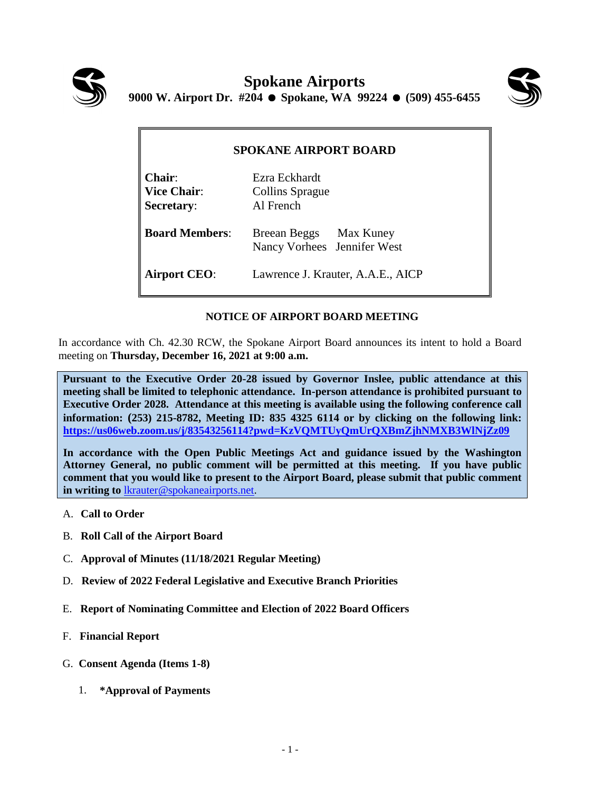



| <b>SPOKANE AIRPORT BOARD</b>                |                                                       |
|---------------------------------------------|-------------------------------------------------------|
| $Chair$<br>Vice Chair:<br><b>Secretary:</b> | Ezra Eckhardt<br>Collins Sprague<br>Al French         |
| <b>Board Members:</b>                       | Breean Beggs Max Kuney<br>Nancy Vorhees Jennifer West |
| <b>Airport CEO:</b>                         | Lawrence J. Krauter, A.A.E., AICP                     |

## **NOTICE OF AIRPORT BOARD MEETING**

In accordance with Ch. 42.30 RCW, the Spokane Airport Board announces its intent to hold a Board meeting on **Thursday, December 16, 2021 at 9:00 a.m.**

**Pursuant to the Executive Order 20-28 issued by Governor Inslee, public attendance at this meeting shall be limited to telephonic attendance. In-person attendance is prohibited pursuant to Executive Order 2028. Attendance at this meeting is available using the following conference call information: (253) 215-8782, Meeting ID: 835 4325 6114 or by clicking on the following link: <https://us06web.zoom.us/j/83543256114?pwd=KzVQMTUyQmUrQXBmZjhNMXB3WlNjZz09>**

**In accordance with the Open Public Meetings Act and guidance issued by the Washington Attorney General, no public comment will be permitted at this meeting. If you have public comment that you would like to present to the Airport Board, please submit that public comment in writing to** [lkrauter@spokaneairports.net.](mailto:lkrauter@spokaneairports.net)

- A. **Call to Order**
- B. **Roll Call of the Airport Board**
- C. **Approval of Minutes (11/18/2021 Regular Meeting)**
- D. **Review of 2022 Federal Legislative and Executive Branch Priorities**
- E. **Report of Nominating Committee and Election of 2022 Board Officers**
- F. **Financial Report**
- G. **Consent Agenda (Items 1-8)**
	- 1. **\*Approval of Payments**